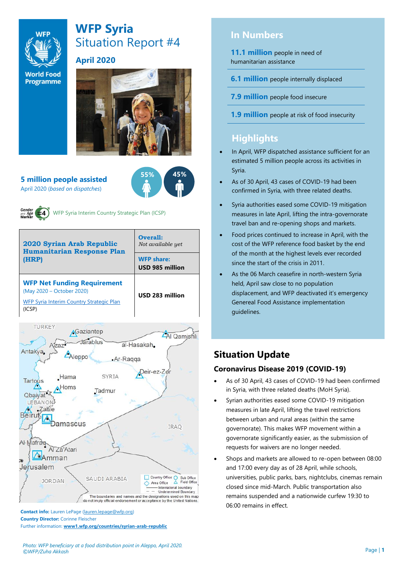

# **WFP Syria** Situation Report #4

#### **April 2020**

**World Food Programme** 



#### **5 million people assisted**  April 2020 (*based on dispatches*)





WFP Syria Interim Country Strategic Plan (ICSP)





**Contact info:** Lauren LePage [\(lauren.lepage@wfp.org\)](mailto:lauren.lepage@wfp.org) **Country Director:** Corinne Fleischer Further information: **[www1.wfp.org/countries/syrian-arab-republic](file:///C:/Users/lauren.lepage/AppData/Local/Microsoft/Windows/INetCache/Content.Outlook/HTRVWXQN/www1.wfp.org/countries/syrian-arab-republic)**

# **In Numbers**

**11.1 million** people in need of humanitarian assistance

**6.1 million** people internally displaced

**7.9 million** people food insecure

**1.9 million** people at risk of food insecurity

# **Highlights**

- In April, WFP dispatched assistance sufficient for an estimated 5 million people across its activities in Syria.
- As of 30 April, 43 cases of COVID-19 had been confirmed in Syria, with three related deaths.
- Syria authorities eased some COVID-19 mitigation measures in late April, lifting the intra-governorate travel ban and re-opening shops and markets.
- Food prices continued to increase in April, with the cost of the WFP reference food basket by the end of the month at the highest levels ever recorded since the start of the crisis in 2011.
- As the 06 March ceasefire in north-western Syria held, April saw close to no population displacement, and WFP deactivated it's emergency Genereal Food Assistance implementation guidelines.

# **Situation Update**

#### **Coronavirus Disease 2019 (COVID-19)**

- As of 30 April, 43 cases of COVID-19 had been confirmed in Syria, with three related deaths (MoH Syria).
- Syrian authorities eased some COVID-19 mitigation measures in late April, lifting the travel restrictions between urban and rural areas (within the same governorate). This makes WFP movement within a governorate significantly easier, as the submission of requests for waivers are no longer needed.
- Shops and markets are allowed to re-open between 08:00 and 17:00 every day as of 28 April, while schools, universities, public parks, bars, nightclubs, cinemas remain closed since mid-March. Public transportation also remains suspended and a nationwide curfew 19:30 to 06:00 remains in effect.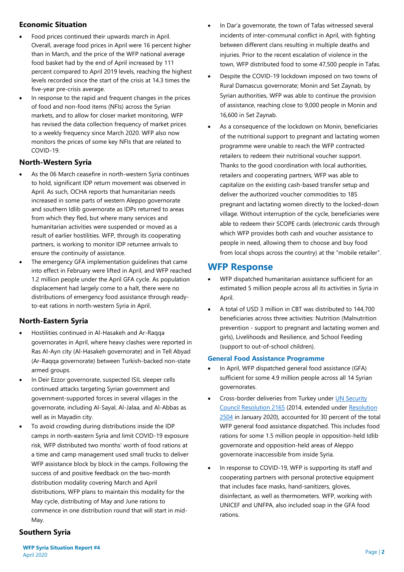#### **Economic Situation**

- Food prices continued their upwards march in April. Overall, average food prices in April were 16 percent higher than in March, and the price of the WFP national average food basket had by the end of April increased by 111 percent compared to April 2019 levels, reaching the highest levels recorded since the start of the crisis at 14.3 times the five-year pre-crisis average.
- In response to the rapid and frequent changes in the prices of food and non-food items (NFIs) across the Syrian markets, and to allow for closer market monitoring, WFP has revised the data collection frequency of market prices to a weekly frequency since March 2020. WFP also now monitors the prices of some key NFIs that are related to COVID-19.

#### **North-Western Syria**

- As the 06 March ceasefire in north-western Syria continues to hold, significant IDP return movement was observed in April. As such, OCHA reports that humanitarian needs increased in some parts of western Aleppo governorate and southern Idlib governorate as IDPs returned to areas from which they fled, but where many services and humanitarian activities were suspended or moved as a result of earlier hostilities. WFP, through its cooperating partners, is working to monitor IDP returnee arrivals to ensure the continuity of assistance.
- The emergency GFA implementation guidelines that came into effect in February were lifted in April, and WFP reached 1.2 million people under the April GFA cycle. As population displacement had largely come to a halt, there were no distributions of emergency food assistance through readyto-eat rations in north-western Syria in April.

### **North-Eastern Syria**

- Hostilities continued in Al-Hasakeh and Ar-Raqqa governorates in April, where heavy clashes were reported in Ras Al-Ayn city (Al-Hasakeh governorate) and in Tell Abyad (Ar-Raqqa governorate) between Turkish-backed non-state armed groups.
- In Deir Ezzor governorate, suspected ISIL sleeper cells continued attacks targeting Syrian government and government-supported forces in several villages in the governorate, including Al-Sayal, Al-Jalaa, and Al-Abbas as well as in Mayadin city.
- To avoid crowding during distributions inside the IDP camps in north-eastern Syria and limit COVID-19 exposure risk, WFP distributed two months' worth of food rations at a time and camp management used small trucks to deliver WFP assistance block by block in the camps. Following the success of and positive feedback on the two-month distribution modality covering March and April distributions, WFP plans to maintain this modality for the May cycle, distributing of May and June rations to commence in one distribution round that will start in mid-May.
- In Dar'a governorate, the town of Tafas witnessed several incidents of inter-communal conflict in April, with fighting between different clans resulting in multiple deaths and injuries. Prior to the recent escalation of violence in the town, WFP distributed food to some 47,500 people in Tafas.
- Despite the COVID-19 lockdown imposed on two towns of Rural Damascus governorate; Monin and Set Zaynab, by Syrian authorities, WFP was able to continue the provision of assistance, reaching close to 9,000 people in Monin and 16,600 in Set Zaynab.
- As a consequence of the lockdown on Monin, beneficiaries of the nutritional support to pregnant and lactating women programme were unable to reach the WFP contracted retailers to redeem their nutritional voucher support. Thanks to the good coordination with local authorities, retailers and cooperating partners, WFP was able to capitalize on the existing cash-based transfer setup and deliver the authorized voucher commodities to 185 pregnant and lactating women directly to the locked-down village. Without interruption of the cycle, beneficiaries were able to redeem their SCOPE cards (electronic cards through which WFP provides both cash and voucher assistance to people in need, allowing them to choose and buy food from local shops across the country) at the "mobile retailer".

## **WFP Response**

- WFP dispatched humanitarian assistance sufficient for an estimated 5 million people across all its activities in Syria in April.
- A total of USD 3 million in CBT was distributed to 144,700 beneficiaries across three activities: Nutrition (Malnutrition prevention - support to pregnant and lactating women and girls), Livelihoods and Resilience, and School Feeding (support to out-of-school children).

#### **General Food Assistance Programme**

- In April, WFP dispatched general food assistance (GFA) sufficient for some 4.9 million people across all 14 Syrian governorates.
- Cross-border deliveries from Turkey under [UN Security](https://undocs.org/S/RES/2165(2014))  [Council Resolution 2165](https://undocs.org/S/RES/2165(2014)) (2014, extended under [Resolution](https://undocs.org/S/RES/2504(2020))  [2504](https://undocs.org/S/RES/2504(2020)) in January 2020), accounted for 30 percent of the total WFP general food assistance dispatched. This includes food rations for some 1.5 million people in opposition-held Idlib governorate and opposition-held areas of Aleppo governorate inaccessible from inside Syria.
- In response to COVID-19, WFP is supporting its staff and cooperating partners with personal protective equipment that includes face masks, hand-sanitizers, gloves, disinfectant, as well as thermometers. WFP, working with UNICEF and UNFPA, also included soap in the GFA food rations.

### **Southern Syria**